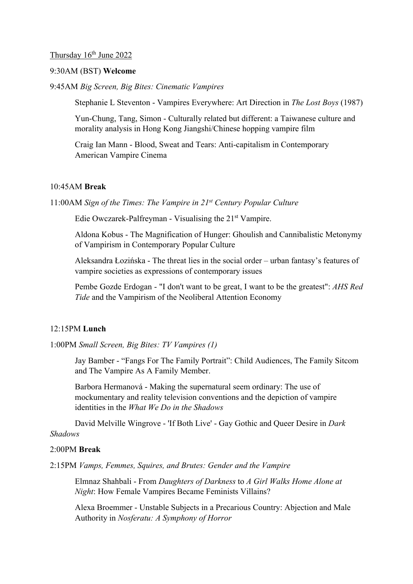## Thursday 16<sup>th</sup> June 2022

## 9:30AM (BST) **Welcome**

9:45AM *Big Screen, Big Bites: Cinematic Vampires* 

Stephanie L Steventon - Vampires Everywhere: Art Direction in *The Lost Boys* (1987)

Yun-Chung, Tang, Simon - Culturally related but different: a Taiwanese culture and morality analysis in Hong Kong Jiangshi/Chinese hopping vampire film

Craig Ian Mann - Blood, Sweat and Tears: Anti-capitalism in Contemporary American Vampire Cinema

## 10:45AM **Break**

11:00AM *Sign of the Times: The Vampire in 21st Century Popular Culture* 

Edie Owczarek-Palfreyman - Visualising the 21st Vampire.

Aldona Kobus - The Magnification of Hunger: Ghoulish and Cannibalistic Metonymy of Vampirism in Contemporary Popular Culture

Aleksandra Łozińska - The threat lies in the social order – urban fantasy's features of vampire societies as expressions of contemporary issues

Pembe Gozde Erdogan - "I don't want to be great, I want to be the greatest": *AHS Red Tide* and the Vampirism of the Neoliberal Attention Economy

## 12:15PM **Lunch**

1:00PM *Small Screen, Big Bites: TV Vampires (1)* 

Jay Bamber - "Fangs For The Family Portrait": Child Audiences, The Family Sitcom and The Vampire As A Family Member.

Barbora Hermanová - Making the supernatural seem ordinary: The use of mockumentary and reality television conventions and the depiction of vampire identities in the *What We Do in the Shadows*

 David Melville Wingrove - 'If Both Live' - Gay Gothic and Queer Desire in *Dark Shadows*

### 2:00PM **Break**

2:15PM *Vamps, Femmes, Squires, and Brutes: Gender and the Vampire* 

Elmnaz Shahbali - From *Daughters of Darkness* to *A Girl Walks Home Alone at Night*: How Female Vampires Became Feminists Villains?

Alexa Broemmer - Unstable Subjects in a Precarious Country: Abjection and Male Authority in *Nosferatu: A Symphony of Horror*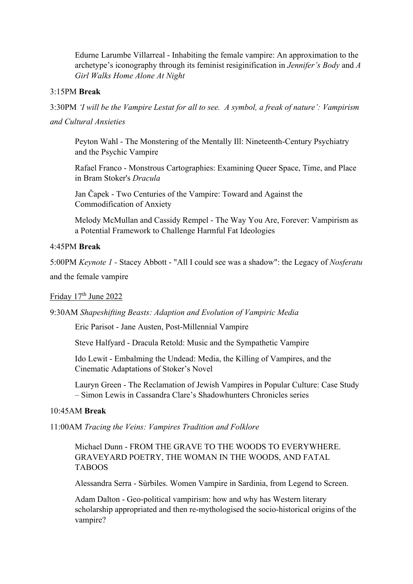Edurne Larumbe Villarreal - Inhabiting the female vampire: An approximation to the archetype's iconography through its feminist resiginification in *Jennifer's Body* and *A Girl Walks Home Alone At Night*

## 3:15PM **Break**

3:30PM *'I will be the Vampire Lestat for all to see. A symbol, a freak of nature': Vampirism and Cultural Anxieties* 

Peyton Wahl - The Monstering of the Mentally Ill: Nineteenth-Century Psychiatry and the Psychic Vampire

Rafael Franco - Monstrous Cartographies: Examining Queer Space, Time, and Place in Bram Stoker's *Dracula*

Jan Čapek - Two Centuries of the Vampire: Toward and Against the Commodification of Anxiety

Melody McMullan and Cassidy Rempel - The Way You Are, Forever: Vampirism as a Potential Framework to Challenge Harmful Fat Ideologies

# 4:45PM **Break**

5:00PM *Keynote 1 -* Stacey Abbott - "All I could see was a shadow": the Legacy of *Nosferatu*  and the female vampire

# Friday 17<sup>th</sup> June 2022

9:30AM *Shapeshifting Beasts: Adaption and Evolution of Vampiric Media* 

Eric Parisot - Jane Austen, Post-Millennial Vampire

Steve Halfyard - Dracula Retold: Music and the Sympathetic Vampire

Ido Lewit - Embalming the Undead: Media, the Killing of Vampires, and the Cinematic Adaptations of Stoker's Novel

Lauryn Green - The Reclamation of Jewish Vampires in Popular Culture: Case Study – Simon Lewis in Cassandra Clare's Shadowhunters Chronicles series

### 10:45AM **Break**

11:00AM *Tracing the Veins: Vampires Tradition and Folklore* 

Michael Dunn - FROM THE GRAVE TO THE WOODS TO EVERYWHERE. GRAVEYARD POETRY, THE WOMAN IN THE WOODS, AND FATAL TABOOS

Alessandra Serra - Sùrbiles. Women Vampire in Sardinia, from Legend to Screen.

Adam Dalton - Geo-political vampirism: how and why has Western literary scholarship appropriated and then re-mythologised the socio-historical origins of the vampire?